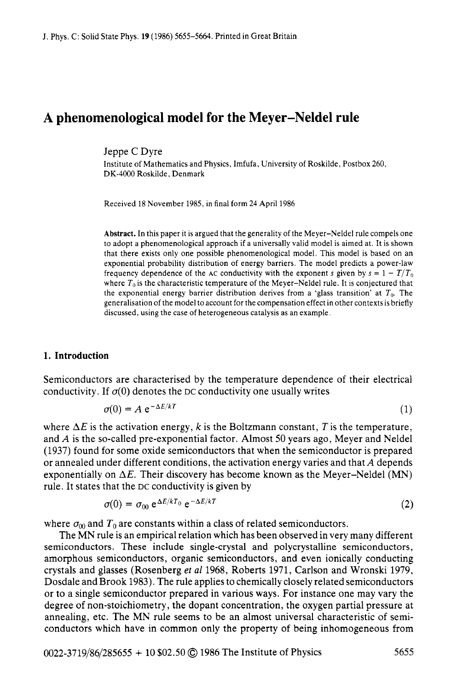# **A phenomenological model for the Meyer-Neldel rule**

Jeppe C Dyre

Institute of Mathematics and Physics, Imfufa, University of Roskilde, Postbox 260. **DK-4000** Roskilde. Denmark

Received 18 November 1985, in final form **24** April 1986

**Abstract.** In this paper it is argued that the generality of the Meyer-Neldel rule compels one to adopt a phenomenological approach if a universally valid model is aimed at. It is shown that there exists only one possible phenomenological model. This model is based on an exponential probability distribution of energy barriers. The model predicts a power-law frequency dependence of the AC conductivity with the exponent s given by  $s = 1 - T/T_0$ where  $T<sub>0</sub>$  is the characteristic temperature of the Meyer-Neldel rule. It is conjectured that the exponential energy barrier distribution derives from a 'glass transition' at  $T_0$ . The generalisation of the model to account for the compensation effect in other contexts is briefly discussed, using the case of heterogeneous catalysis **as** an example.

## **1. Introduction**

Semiconductors are characterised by the temperature dependence of their electrical conductivity. If  $\sigma(0)$  denotes the DC conductivity one usually writes

$$
\sigma(0) = A e^{-\Delta E/kT}
$$
 (1)

where  $\Delta E$  is the activation energy, k is the Boltzmann constant, T is the temperature, and *A* is the so-called pre-exponential factor. Almost 50 years ago, Meyer and Neldel (1937) found for some oxide semiconductors that when the semiconductor is prepared or annealed under different conditions, the activation energy varies and that *A* depends exponentially on  $\Delta E$ . Their discovery has become known as the Meyer-Neldel (MN) rule. It states that the DC conductivity is given by

$$
\sigma(0) = \sigma_{00} e^{\Delta E/kT_0} e^{-\Delta E/kT}
$$
 (2)

where  $\sigma_{00}$  and  $T_0$  are constants within a class of related semiconductors.

The MN rule is an empirical relation which has been observed in very many different semiconductors. These include single-crystal and polycrystalline semiconductors, amorphous semiconductors, organic semiconductors, and even ionically conducting crystals and glasses (Rosenberg et *a1* 1968, Roberts 1971, Carlson and Wronski 1979, Dosdale and Brook 1983). The rule applies to chemically closely related semiconductors or to a single semiconductor prepared in various ways. For instance one may vary the degree of non-stoichiometry, the dopant concentration, the oxygen partial pressure at annealing, etc. The MN rule seems to be an almost universal characteristic of semiconductors which have in common only the property of being inhomogeneous from

0022-3719/86/285655 + 10 \$02.50 @ 1986 The Institute of Physics *5655*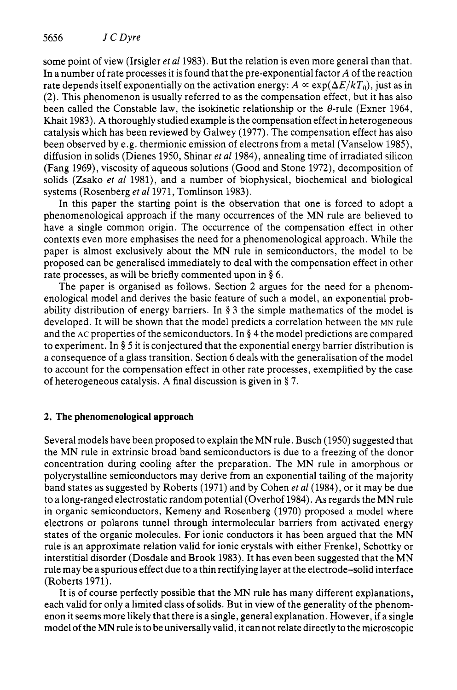some point of view (Irsigler et *a1* 1983). But the relation is even more general than that. In a number of rate processes it is found that the pre-exponential factor *A* of the reaction rate depends itself exponentially on the activation energy:  $A \propto \exp(\Delta E / kT_0)$ , just as in (2). This phenomenon is usually referred to as the compensation effect, but it has also been called the Constable law, the isokinetic relationship or the  $\theta$ -rule (Exner 1964, Khait 1983). **A** thoroughly studied example is the compensation effect in heterogeneous catalysis which has been reviewed by Galwey (1977). The compensation effect has also been observed by e.g. thermionic emission of electrons from a metal (Vanselow 1985), diffusion in solids (Dienes 1950, Shinar et *a1* 1984), annealing time of irradiated silicon (Fang 1969), viscosity of aqueous solutions (Good and Stone 1972), decomposition of solids (Zsako *er a1* 198l), and a number of biophysical, biochemical and biological systems (Rosenberg et *a1* 1971, Tomlinson 1983).

In this paper the starting point is the observation that one is forced to adopt a phenomenological approach if the many occurrences of the MN rule are believed to have a single common origin. The occurrence of the compensation effect in other contexts even more emphasises the need for a phenomenological approach. While the paper is almost exclusively about the MN rule in semiconductors, the model to be proposed can be generalised immediately to deal with the compensation effect in other rate processes, as will be briefly commented upon in § 6.

The paper is organised as follows. Section 2 argues for the need for a phenomenological model and derives the basic feature of such a model, an exponential probability distribution of energy barriers. In § 3 the simple mathematics of the model is developed. It will be shown that the model predicts a correlation between the MN rule and the **AC** properties of the semiconductors. In § 4 the model predictions are compared to experiment. In § *5* it is conjectured that the exponential energy barrier distribution is a consequence of a glass transition. Section 6 deals with the generalisation of the model to account for the compensation effect in other rate processes, exemplified by the case of heterogeneous catalysis. **A** final discussion is given in § **7.** 

## **2. The phenomenological approach**

Several models have been proposed to explain the MN rule. Busch (1950) suggested that the MN rule in extrinsic broad band semiconductors is due to a freezing of the donor concentration during cooling after the preparation. The MN rule in amorphous or polycrystalline semiconductors may derive from an exponential tailing of the majority band states as suggested by Roberts (1971) and by Cohen *et a1* (1984), or it may be due to a long-ranged electrostatic random potential (Overhof 1984). **As** regards the MN rule in organic semiconductors, Kemeny and Rosenberg (1970) proposed a model where electrons or polarons tunnel through intermolecular barriers from activated energy states of the organic molecules. For ionic conductors it has been argued that the MN rule is an approximate relation valid for ionic crystals with either Frenkel, Schottky or interstitial disorder (Dosdale and Brook 1983). It has even been suggested that the MN rule may be a spurious effect due to a thin rectifying layer at the electrode-solid interface (Roberts 1971).

It is of course perfectly possible that the MN rule has many different explanations, each valid for only a limited class of solids. But in view of the generality of the phenomenon it seems more likely that there is a single, general explanation. However, if a single model of the MN rule is to be universally valid, it can not relate directly to the microscopic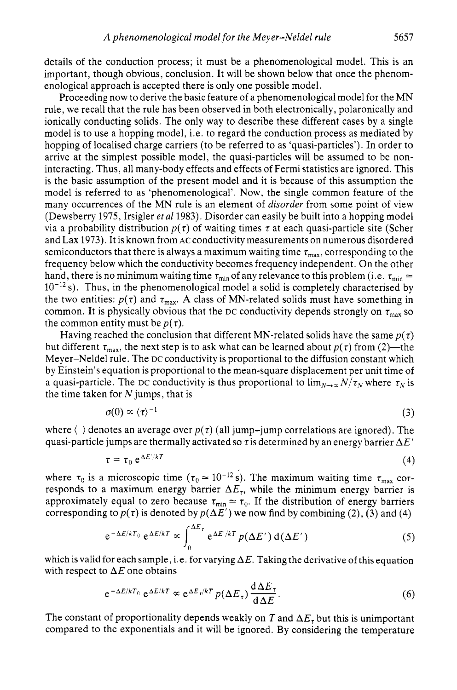details of the conduction process; it must be a phenomenological model. This is an important, though obvious, conclusion. It will be shown below that once the phenomenological approach is accepted there is only one possible model.

Proceeding now to derive the basic feature of a phenomenological model for the MN rule, we recall that the rule has been observed in both electronically, polaronically and ionically conducting solids. The only way to describe these different cases by a single model is to use a hopping model, i.e. to regard the conduction process as mediated by hopping of localised charge carriers (to be referred to as 'quasi-particles'). In order to arrive at the simplest possible model, the quasi-particles will be assumed to be noninteracting. Thus, all many-body effects and effects of Fermi statistics are ignored. This is the basic assumption of the present model and it is because of this assumption the model is referred to as 'phenomenological'. Now, the single common feature of the many occurrences of the MN rule is an element of *disorder* from some point of view (Dewsberry 1975, Irsigler et *a1* 1983). Disorder can easily be built into a hopping model via a probability distribution  $p(\tau)$  of waiting times  $\tau$  at each quasi-particle site (Scher and Lax 1973). It is known from **AC** conductivity measurements on numerous disordered semiconductors that there is always a maximum waiting time  $\tau_{\text{max}}$ , corresponding to the frequency below which the conductivity becomes frequency independent. On the other hand, there is no minimum waiting time  $\tau_{\min}$  of any relevance to this problem (i.e.  $\tau_{\min} \simeq$  $10^{-12}$  s). Thus, in the phenomenological model a solid is completely characterised by the two entities:  $p(\tau)$  and  $\tau_{\text{max}}$ . A class of MN-related solids must have something in common. It is physically obvious that the DC conductivity depends strongly on  $\tau_{\text{max}}$  so the common entity must be  $p(\tau)$ .

Having reached the conclusion that different MN-related solids have the same  $p(\tau)$ but different  $\tau_{\text{max}}$ , the next step is to ask what can be learned about  $p(\tau)$  from (2)—the Meyer-Neldel rule. The DC conductivity is proportional to the diffusion constant which by Einstein's equation is proportional to the mean-square displacement per unit time of a quasi-particle. The DC conductivity is thus proportional to  $\lim_{N\to\infty} N/\tau_{N}$  where  $\tau_{N}$  is the time taken for  $N$  jumps, that is

$$
\sigma(0) \propto \langle \tau \rangle^{-1} \tag{3}
$$

where  $\langle \ \rangle$  denotes an average over  $p(\tau)$  (all jump-jump correlations are ignored). The quasi-particle jumps are thermally activated so  $\tau$  is determined by an energy barrier  $\Delta E'$ 

$$
\tau = \tau_0 e^{\Delta E'/kT}
$$
 (4)

where  $\tau_0$  is a microscopic time  $(\tau_0 \approx 10^{-12} \text{ s})$ . The maximum waiting time  $\tau_{\text{max}}$  corresponds to a maximum energy barrier  $\Delta E_t$ , while the minimum energy barrier is approximately equal to zero because  $\tau_{\text{min}} \approx \tau_0$ . If the distribution of energy barriers corresponding to  $p(\tau)$  is denoted by  $p(\Delta E')$  we now find by combining (2), (3) and (4)

$$
e^{-\Delta E/kT_0} e^{\Delta E/kT} \propto \int_0^{\Delta E_r} e^{\Delta E'/kT} p(\Delta E') d(\Delta E') \tag{5}
$$

which is valid for each sample, i.e. for varying  $\Delta E$ . Taking the derivative of this equation with respect to  $\Delta E$  one obtains

$$
e^{-\Delta E/kT_0} e^{\Delta E/kT} \propto e^{\Delta E_{\tau}/kT} p(\Delta E_{\tau}) \frac{d\Delta E_{\tau}}{d\Delta E}.
$$
 (6)

The constant of proportionality depends weakly on T and  $\Delta E<sub>r</sub>$  but this is unimportant compared to the exponentials and it will be ignored. By considering the temperature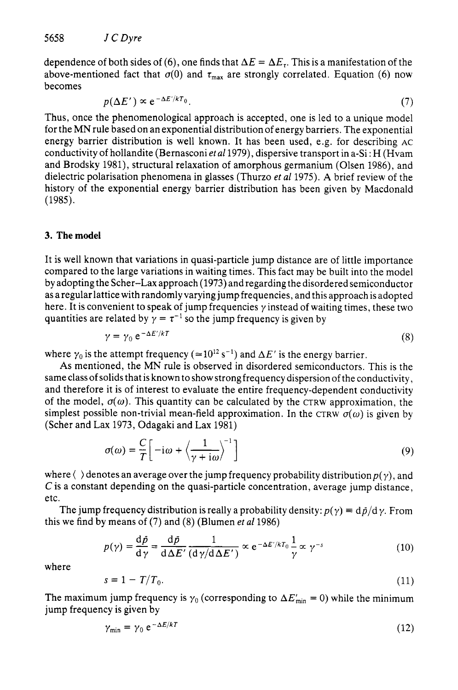dependence of both sides of (6), one finds that  $\Delta E = \Delta E_{\tau}$ . This is a manifestation of the above-mentioned fact that  $\sigma(0)$  and  $\tau_{\text{max}}$  are strongly correlated. Equation (6) now becomes

$$
p(\Delta E') \propto e^{-\Delta E'/kT_0}.\tag{7}
$$

Thus, once the phenomenological approach is accepted, one is led to a unique model for the MN rule based on an exponential distribution of energy barriers. The exponential energy barrier distribution is well known. It has been used, e.g. for describing **AC**  conductivity of hollandite (Bernasconi *er a1* 1979), dispersive transport in a-Si : H (Hvam and Brodsky 1981), structural relaxation of amorphous germanium (Olsen 1986), and dielectric polarisation phenomena in glasses (Thurzo *er a1* 1975). **A** brief review of the history of the exponential energy barrier distribution has been given by Macdonald (1985).

# **3. Themodel**

It is well known that variations in quasi-particle jump distance are of little importance compared to the large variations in waiting times. This fact may be built into the model by adopting the Scher-Lax approach (1973) and regarding the disordered semiconductor as a regular lattice with randomly varying jump frequencies, and this approach is adopted here. It is convenient to speak of jump frequencies *y* instead of waiting times, these two quantities are related by  $\gamma = \tau^{-1}$  so the jump frequency is given by

$$
\gamma = \gamma_0 e^{-\Delta E'/kT} \tag{8}
$$

where  $\gamma_0$  is the attempt frequency ( $\approx 10^{12}$  s<sup>-1</sup>) and  $\Delta E'$  is the energy barrier.

**As** mentioned, the MN rule is observed in disordered semiconductors. This is the same class of solids that is **known** to show strong frequency dispersion of the conductivity, and therefore it is of interest to evaluate the entire frequency-dependent conductivity of the model,  $\sigma(\omega)$ . This quantity can be calculated by the CTRW approximation, the simplest possible non-trivial mean-field approximation. In the CTRW  $\sigma(\omega)$  is given by (Scher and Lax 1973, Odagaki and Lax 1981)

$$
\sigma(\omega) = \frac{C}{T} \left[ -i\omega + \left\langle \frac{1}{\gamma + i\omega} \right\rangle^{-1} \right]
$$
\n(9)

where  $\langle \ \rangle$  denotes an average over the jump frequency probability distribution  $p(\gamma)$ , and *C* is a constant depending on the quasi-particle concentration, average jump distance, etc. Stes an average over the jump frequency probability<br>t depending on the quasi-particle concentration, average the quasi-particle concentration, as<br>frequency distribution is really a probability density:<br> $p(\gamma) = \frac{d\bar{p}}{d\gamma$ 

The jump frequency distribution is really a probability density:  $p(\gamma) \equiv d\tilde{p}/d\gamma$ . From this we find by means of (7) and (8) (Blumen *et a1* 1986)

$$
p(\gamma) = \frac{\mathrm{d}\tilde{p}}{\mathrm{d}\gamma} = \frac{\mathrm{d}\tilde{p}}{\mathrm{d}\Delta E'} \frac{1}{(\mathrm{d}\gamma/\mathrm{d}\Delta E')} \propto e^{-\Delta E'/kT_0} \frac{1}{\gamma} \propto \gamma^{-s} \tag{10}
$$

where

$$
s = 1 - T/T_0.
$$
 (11)

The maximum jump frequency is  $\gamma_0$  (corresponding to  $\Delta E_{\text{min}}' = 0$ ) while the minimum jump frequency is given by

$$
\gamma_{\min} = \gamma_0 e^{-\Delta E/kT} \tag{12}
$$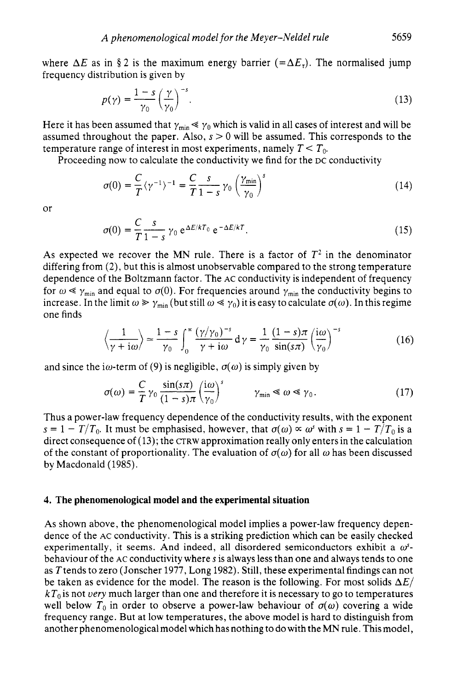where  $\Delta E$  as in § 2 is the maximum energy barrier  $(=\Delta E_r)$ . The normalised jump frequency distribution is given by

$$
p(\gamma) = \frac{1-s}{\gamma_0} \left(\frac{\gamma}{\gamma_0}\right)^{-s}.\tag{13}
$$

Here it has been assumed that  $\gamma_{\text{min}} \ll \gamma_0$  which is valid in all cases of interest and will be assumed throughout the paper. Also,  $s > 0$  will be assumed. This corresponds to the temperature range of interest in most experiments, namely  $T < T_0$ .

Proceeding now to calculate the conductivity we find for the **DC** conductivity

$$
\sigma(0) = \frac{C}{T} \langle \gamma^{-1} \rangle^{-1} = \frac{C}{T} \frac{s}{1-s} \gamma_0 \left( \frac{\gamma_{\text{min}}}{\gamma_0} \right)^s \tag{14}
$$

or

$$
\sigma(0) = \frac{C}{T} \frac{s}{1-s} \gamma_0 e^{\Delta E/kT_0} e^{-\Delta E/kT}.
$$
\n(15)

As expected we recover the MN rule. There is a factor of  $T<sup>2</sup>$  in the denominator differing from **(2),** but this is almost unobservable compared to the strong temperature dependence of the Boltzmann factor. The **AC** conductivity is independent of frequency for  $\omega \ll \gamma_{\text{min}}$  and equal to  $\sigma(0)$ . For frequencies around  $\gamma_{\text{min}}$  the conductivity begins to increase. In the limit  $\omega \ge \gamma_{\text{min}}$  (but still  $\omega \le \gamma_0$ ) it is easy to calculate  $\sigma(\omega)$ . In this regime one finds

$$
\left\langle \frac{1}{\gamma + i\omega} \right\rangle \simeq \frac{1 - s}{\gamma_0} \int_0^\infty \frac{(\gamma/\gamma_0)^{-s}}{\gamma + i\omega} d\gamma = \frac{1}{\gamma_0} \frac{(1 - s)\pi}{\sin(s\pi)} \left( \frac{i\omega}{\gamma_0} \right)^{-s} \tag{16}
$$

and since the i $\omega$ -term of (9) is negligible,  $\sigma(\omega)$  is simply given by

$$
\sigma(\omega) = \frac{C}{T} \gamma_0 \frac{\sin(s\pi)}{(1-s)\pi} \left(\frac{i\omega}{\gamma_0}\right)^s \qquad \gamma_{\min} \ll \omega \ll \gamma_0. \tag{17}
$$

Thus a power-law frequency dependence of the conductivity results, with the exponent  $s = 1 - T/T_0$ . It must be emphasised, however, that  $\sigma(\omega) \propto \omega^s$  with  $s = 1 - T/T_0$  is a direct consequence of (13); the CTRW approximation really only enters in the calculation of the constant of proportionality. The evaluation of  $\sigma(\omega)$  for all  $\omega$  has been discussed by Macdonald (1985).

#### **4. The phenomenological model and the experimental situation**

As shown above, the phenomenological model implies a power-law frequency dependence of the **AC** conductivity. This is a striking prediction which can be easily checked experimentally, it seems. And indeed, all disordered semiconductors exhibit a  $\omega^s$ behaviour of the **AC** conductivity where s is always less than one and always tends to one as T tends to zero (Jonscher 1977, Long 1982). Still, these experimental findings can not be taken as evidence for the model. The reason is the following. For most solids *AE/*   $kT_0$  is not *very* much larger than one and therefore it is necessary to go to temperatures well below  $T_0$  in order to observe a power-law behaviour of  $\sigma(\omega)$  covering a wide frequency range. But at low temperatures, the above model is hard to distinguish from another phenomenological model which has nothing to do with the MN rule. This model,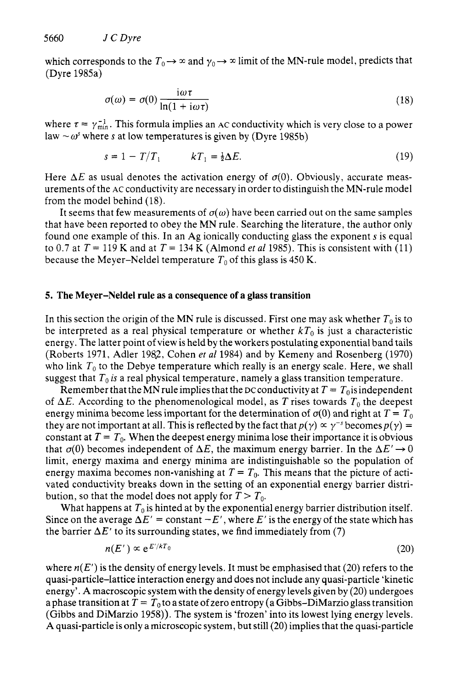which corresponds to the  $T_0 \rightarrow \infty$  and  $\gamma_0 \rightarrow \infty$  limit of the MN-rule model, predicts that (Dyre 1985a)

$$
\sigma(\omega) = \sigma(0) \frac{i\omega \tau}{\ln(1 + i\omega \tau)}
$$
\n(18)

where  $\tau = \gamma_{\min}^{-1}$ . This formula implies an AC conductivity which is very close to a power law  $\sim \omega^s$  where *s* at low temperatures is given by (Dyre 1985b)

$$
s = 1 - T/T_1 \t kT_1 = \frac{1}{2}\Delta E.
$$
 (19)

Here  $\Delta E$  as usual denotes the activation energy of  $\sigma(0)$ . Obviously, accurate measurements of the AC conductivity are necessary in order to distinguish the MN-rule model from the model behind (18).

It seems that few measurements of  $\sigma(\omega)$  have been carried out on the same samples that have been reported to obey the MN rule. Searching the literature, the author only found one example of this. In an Ag ionically conducting glass the exponent  $s$  is equal to 0.7 at  $T = 119$  K and at  $T = 134$  K (Almond *et al* 1985). This is consistent with (11) because the Meyer-Neldel temperature  $T_0$  of this glass is 450 K.

## **5. The Meyer-Neldel rule as a consequence of a glass transition**

In this section the origin of the MN rule is discussed. First one may ask whether  $T_0$  is to be interpreted as a real physical temperature or whether  $kT_0$  is just a characteristic energy. The latter point of view is held by the workers postulating exponential band tails (Roberts 1971, Adler 1982, Cohen *et a1* 1984) and by Kemeny and Rosenberg (1970) who link  $T_0$  to the Debye temperature which really is an energy scale. Here, we shall suggest that  $T_0$  *is* a real physical temperature, namely a glass transition temperature.

Remember that the MN rule implies that the DC conductivity at  $T = T_0$  is independent of  $\Delta E$ . According to the phenomenological model, as *T* rises towards  $T_0$  the deepest energy minima become less important for the determination of  $\sigma(0)$  and right at  $T = T_0$ they are not important at all. This is reflected by the fact that  $p(\gamma) \propto \gamma^{-s}$  becomes  $p(\gamma) =$ constant at  $T = T_0$ . When the deepest energy minima lose their importance it is obvious that  $\sigma(0)$  becomes independent of  $\Delta E$ , the maximum energy barrier. In the  $\Delta E' \rightarrow 0$ limit, energy maxima and energy minima are indistinguishable so the population of energy maxima becomes non-vanishing at  $T = T_0$ . This means that the picture of activated conductivity breaks down in the setting of an exponential energy barrier distribution, so that the model does not apply for  $T > T_0$ .

What happens at  $T_0$  is hinted at by the exponential energy barrier distribution itself. Since on the average  $\Delta E' = \text{constant} - E'$ , where *E'* is the energy of the state which has the barrier  $\Delta E'$  to its surrounding states, we find immediately from (7)

$$
n(E') \propto e^{E'/kT_0} \tag{20}
$$

where  $n(E')$  is the density of energy levels. It must be emphasised that (20) refers to the quasi-particle-lattice interaction energy and does not include any quasi-particle 'kinetic energy'. A macroscopic system with the density of energy levels given by (20) undergoes a phase transition at  $T = T_0$  to a state of zero entropy (a Gibbs-DiMarzio glass transition (Gibbs and DiMarzio 1958)). The system is 'frozen' into its lowest lying energy levels. A quasi-particle is only a microscopic system, but still (20) implies that the quasi-particle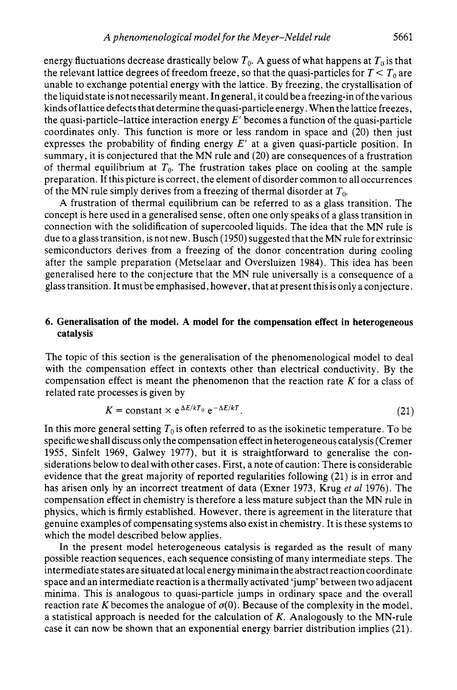energy fluctuations decrease drastically below  $T_0$ . A guess of what happens at  $T_0$  is that the relevant lattice degrees of freedom freeze, so that the quasi-particles for  $T < T_0$  are unable to exchange potential energy with the lattice. By freezing, the crystallisation of the liquid state is not necessarily meant. In general, it could be a freezing-in of the various kinds of lattice defects that determine the quasi-particle energy. When the lattice freezes, the quasi-particle-lattice interaction energy *E'* becomes a function of the quasi-particle coordinates only. This function is more or less random in space and (20) then just expresses the probability of finding energy *E'* at a given quasi-particle position. In summary, it is conjectured that the MN rule and (20) are consequences of a frustration of thermal equilibrium at  $T_0$ . The frustration takes place on cooling at the sample preparation. If this picture is correct, the element of disorder common to all occurrences of the MN rule simply derives from a freezing of thermal disorder at *To.* 

A frustration of thermal equilibrium can be referred to as a glass transition. The concept is here used in a generalised sense, often one only speaks of a glass transition in connection with the solidification of supercooled liquids. The idea that the MN rule is due to a glass transition, is not new. Busch (1950) suggested that the MN rule for extrinsic semiconductors derives from a freezing of the donor concentration during cooling after the sample preparation (Metselaar and Oversluizen 1984). This idea has been generalised here to the conjecture that the MN rule universally is a consequence of a glass transition. It must be emphasised, however, that at present this is only aconjecture.

## **6. Generalisation of the model. A model for the compensation effect in heterogeneous catalysis**

The topic of this section is the generalisation of the phenomenological model to deal with the compensation effect in contexts other than electrical conductivity. By the compensation effect is meant the phenomenon that the reaction rate *K* for a class of related rate processes is given by

$$
K = \text{constant} \times e^{\Delta E/kT_0} e^{-\Delta E/kT}.
$$
 (21)

In this more general setting *To* is often referred to as the isokinetic temperature. To be specific we shall discuss only the compensation effect in heterogeneous catalysis (Cremer 1955, Sinfelt 1969, Galwey 1977), but it is straightforward to generalise the considerations below to deal with other cases. First, a note of caution: There is considerable evidence that the great majority of reported regularities following (21) is in error and has arisen only by an incorrect treatment of data (Exner 1973, Krug *et a1* 1976). The compensation effect in chemistry is therefore a less mature subject than the MN rule in physics, which is firmly established. However, there is agreement in the literature that genuine examples of compensating systems also exist in chemistry. It is these systems to which the model described below applies.

In the present model heterogeneous catalysis is regarded as the result of many possible reaction sequences, each sequence consisting of many intermediate steps. The intermediate states are situated at local energy minima in the abstract reaction coordinate space and an intermediate reaction is a thermally activated 'jump' between two adjacent minima. This is analogous to quasi-particle jumps in ordinary space and the overall reaction rate *K* becomes the analogue of  $\sigma(0)$ . Because of the complexity in the model, a statistical approach is needed for the calculation of *K.* Analogously to the MN-rule case it can now be shown that an exponential energy barrier distribution implies (21).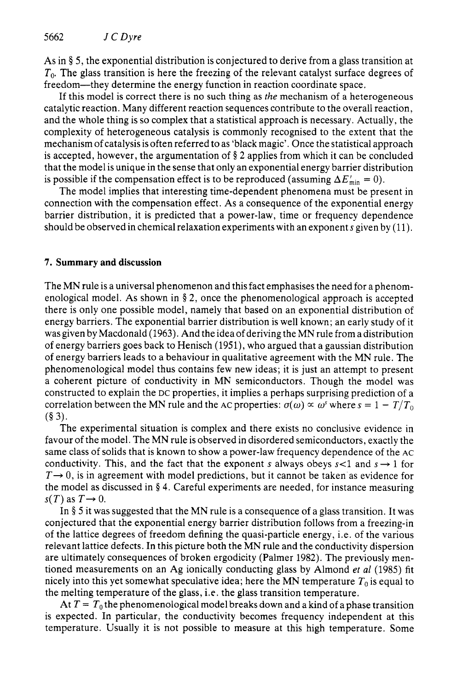As in § *5,* the exponential distribution is conjectured to derive from a glass transition at *To.* The glass transition is here the freezing of the relevant catalyst surface degrees of freedom-they determine the energy function in reaction coordinate space.

If this model is correct there is no such thing as *the* mechanism of a heterogeneous catalytic reaction. Many different reaction sequences contribute to the overall reaction, and the whole thing is so complex that a statistical approach is necessary. Actually, the complexity of heterogeneous catalysis is commonly recognised to the extent that the mechanism of catalysis is often referred to as 'black magic'. Once the statistical approach is accepted, however, the argumentation of **9** 2 applies from which it can be concluded that the model is unique in the sense that only an exponential energy barrier distribution is possible if the compensation effect is to be reproduced (assuming  $\Delta E_{\text{min}}' = 0$ ).

The model implies that interesting time-dependent phenomena must be present in connection with the compensation effect. As a consequence of the exponential energy barrier distribution, it is predicted that a power-law, time or frequency dependence should be observed in chemical relaxation experiments with an exponent  $s$  given by (11).

## **7. Summary and discussion**

The MN rule is a universal phenomenon and this fact emphasises the need for a phenomenological model. As shown in § 2, once the phenomenological approach is accepted there is only one possible model, namely that based on an exponential distribution of energy barriers. The exponential barrier distribution is well known; an early study of it was given by Macdonald (1963). And the idea of deriving the MN rule from a distribution of energy barriers goes back to Henisch (1951), who argued that a gaussian distribution of energy barriers leads to a behaviour in qualitative agreement with the MN rule. The phenomenological model thus contains few new ideas; it is just an attempt to present a coherent picture of conductivity in MN semiconductors. Though the model was constructed to explain the DC properties, it implies a perhaps surprising prediction of a correlation between the MN rule and the AC properties:  $\sigma(\omega) \propto \omega^s$  where  $s = 1 - T/T_0$  $(83)$ .

The experimental situation is complex and there exists no conclusive evidence in favour of the model. The MN rule is observed in disordered semiconductors, exactly the same class of solids that is known to show a power-law frequency dependence of the **AC**  conductivity. This, and the fact that the exponent s always obeys  $s < 1$  and  $s \rightarrow 1$  for  $T \rightarrow 0$ , is in agreement with model predictions, but it cannot be taken as evidence for the model as discussed in **9 4.** Careful experiments are needed, for instance measuring  $s(T)$  as  $T \rightarrow 0$ .

In § *5* it was suggested that the MN rule is a consequence of a glass transition. It was conjectured that the exponential energy barrier distribution follows from a freezing-in of the lattice degrees of freedom defining the quasi-particle energy, i.e. of the various relevant lattice defects. **In** this picture both the MN rule and the conductivity dispersion are ultimately consequences of broken ergodicity (Palmer 1982). The previously mentioned measurements on an Ag ionically conducting glass by Almond *et a1* (1985) fit nicely into this yet somewhat speculative idea; here the MN temperature  $T_0$  is equal to the melting temperature of the glass, i.e. the glass transition temperature.

At  $T = T_0$  the phenomenological model breaks down and a kind of a phase transition is expected. In particular, the conductivity becomes frequency independent at this temperature. Usually it is not possible to measure at this high temperature. Some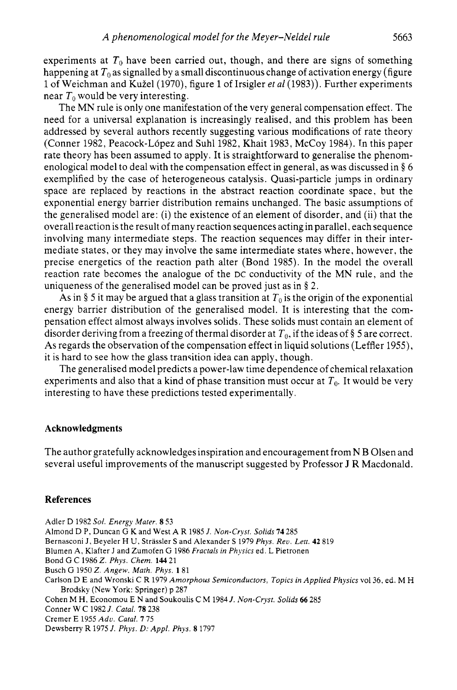experiments at  $T_0$  have been carried out, though, and there are signs of something happening at  $T_0$  as signalled by a small discontinuous change of activation energy (figure 1 of Weichman and Kuiel(1970), figure 1 of Irsigler *et a1* (1983)). Further experiments near  $T_0$  would be very interesting.

The MN rule is only one manifestation of the very general compensation effect. The need for a universal explanation is increasingly realised, and this problem has been addressed by several authors recently suggesting various modifications of rate theory (Conner 1982, Peacock-López and Suhl 1982, Khait 1983, McCoy 1984). In this paper rate theory has been assumed to apply. It is straightforward to generalise the phenomenological model to deal with the compensation effect in general, as was discussed in § 6 exemplified by the case of heterogeneous catalysis. Quasi-particle jumps in ordinary space are replaced by reactions in the abstract reaction coordinate space, but the exponential energy barrier distribution remains unchanged. The basic assumptions of the generalised model are: (i) the existence of an element of disorder, and (ii) that the overall reaction is the result of many reaction sequences acting in parallel, eachsequence involving many intermediate steps. The reaction sequences may differ in their intermediate states, or they may involve the same intermediate states where, however, the precise energetics of the reaction path alter (Bond 1985). In the model the overall reaction rate becomes the analogue of the DC conductivity of the MN rule, and the uniqueness of the generalised model can be proved just as in § 2.

As in § 5 it may be argued that a glass transition at  $T_0$  is the origin of the exponential energy barrier distribution of the generalised model. It is interesting that the compensation effect almost always involves solids. These solids must contain an element of disorder deriving from a freezing of thermal disorder at  $T_0$ , if the ideas of § 5 are correct. **As** regards the observation of the compensation effect in liquid solutions (Leffler 1955), it is hard to see how the glass tramition idea can apply, though.

The generalised model predicts a power-law time dependence of chemical relaxation experiments and also that a kind of phase transition must occur at  $T_0$ . It would be very interesting to have these predictions tested experimentally.

#### **Acknowledgments**

The author gratefully acknowledges inspiration and encouragement from N B Olsen and several useful improvements of the manuscript suggested by Professor J R Macdonald.

#### **References**

Adler D 1982 *Sol. Energy Mater.* **8** 53 Almond D P, Duncan G K and West **A** R 1985 *J. Non-Cryst. Solids* **74** 285 Bernasconi J, Beyeler H U, Strassler **S** and Alexander S 1979 *Phys. Rev. Len.* **42** 819 Blumen **A,** Klafter J and Zumofen G 1986 *Fractals in Physics* ed. L Pietronen Bond G C 1986 *Z. Phys. Chem.* **144** 21 Busch G 1950 *Z. Angew. Marh. Phys.* **1** 81 Carlson D E and Wronski C R 1979 *Amorphow Semiconductors, Topics in Applied Physics* vol36. ed. M H Brodsky (New York: Springer) **p** 287 Cohen M H, Economou E N and Soukoulis C M 1984 *J. Non-Cryst. Solids 66* 285 Conner W C 1982 *J. Catal.* **78** 238 Cremer E 1955 *Adu. Catal.* **7** 75 Dewsberry R 1975 *J. Phys.* D: *Appl. Phys.* **8** 1797